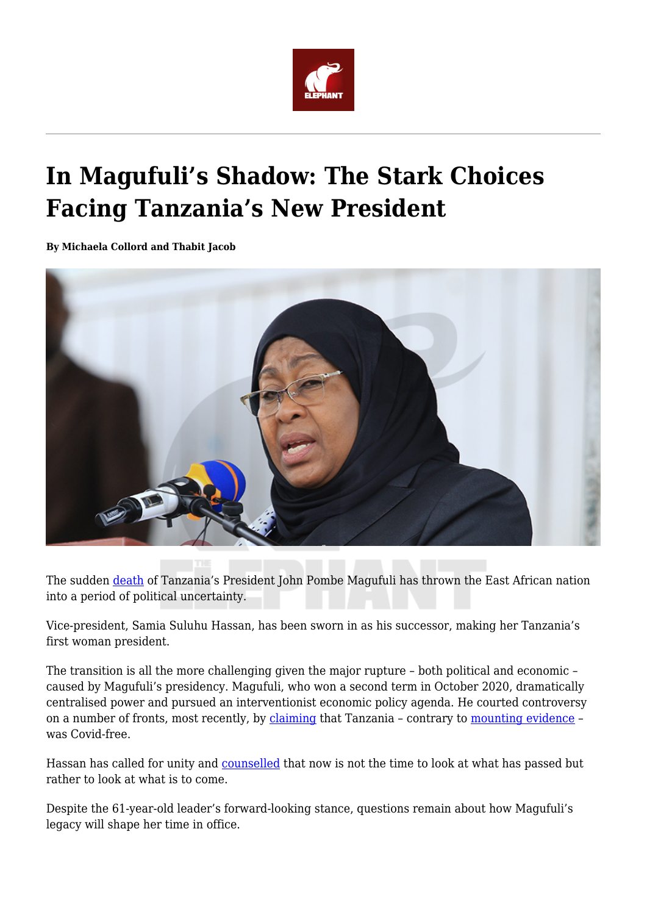

# **In Magufuli's Shadow: The Stark Choices Facing Tanzania's New President**

**By Michaela Collord and Thabit Jacob**



The sudden [death](https://www.bbc.com/news/world-africa-56437852) of Tanzania's President John Pombe Magufuli has thrown the East African nation into a period of political uncertainty.

Vice-president, Samia Suluhu Hassan, has been sworn in as his successor, making her Tanzania's first woman president.

The transition is all the more challenging given the major rupture – both political and economic – caused by Magufuli's presidency. Magufuli, who won a second term in October 2020, dramatically centralised power and pursued an interventionist economic policy agenda. He courted controversy on a number of fronts, most recently, by [claiming](https://theconversation.com/tanzanias-covid-19-response-puts-magufulis-leadership-style-in-sharp-relief-139417) that Tanzania – contrary to [mounting evidence](https://www.reuters.com/article/idUSL4N2KN2Y7) – was Covid-free.

Hassan has called for unity and [counselled](https://twitter.com/zittokabwe/status/1373196342667919364) that now is not the time to look at what has passed but rather to look at what is to come.

Despite the 61-year-old leader's forward-looking stance, questions remain about how Magufuli's legacy will shape her time in office.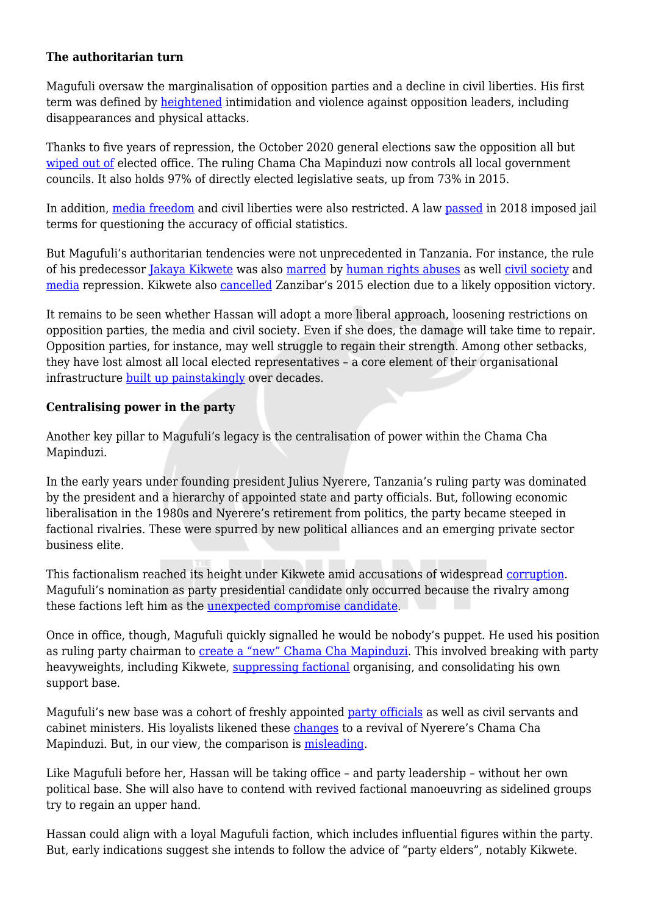#### **The authoritarian turn**

Magufuli oversaw the marginalisation of opposition parties and a decline in civil liberties. His first term was defined by [heightened](https://www.journalofdemocracy.org/articles/tanzania-shrinking-space-and-opposition-protest/) intimidation and violence against opposition leaders, including disappearances and physical attacks.

Thanks to five years of repression, the October 2020 general elections saw the opposition all but [wiped out of](https://www.ifri.org/en/publications/etudes-de-lifri/tanzanias-2020-election-return-one-party-state) elected office. The ruling Chama Cha Mapinduzi now controls all local government councils. It also holds 97% of directly elected legislative seats, up from 73% in 2015.

In addition, [media freedom](https://www.voanews.com/press-freedom/press-freedom-groups-accuse-tanzania-squeezing-media-ahead-elections) and civil liberties were also restricted. A law [passed](https://www.reuters.com/article/us-tanzania-worldbank-idUSKCN1MD17P) in 2018 imposed jail terms for questioning the accuracy of official statistics.

But Magufuli's authoritarian tendencies were not unprecedented in Tanzania. For instance, the rule of his predecessor [Jakaya Kikwete](https://www.who.int/topics/millennium_development_goals/accountability_commission/kikwete/en/) was also [marred](http://www.ipsnews.net/2014/01/anti-poaching-operation-spread-terror-tanzania/) by [human rights abuses](https://www.reuters.com/article/us-tanzania-strike-doctors-idUSBRE8610F620120702) as well [civil society](https://www.bmj.com/content/345/bmj.e4698.full) and [media](http://cbldf.org/2015/02/tanzania-bans-newspaper-over-disrespectful-cartoon/) repression. Kikwete also [cancelled](https://www.bbc.co.uk/news/world-africa-34656934) Zanzibar's 2015 election due to a likely opposition victory.

It remains to be seen whether Hassan will adopt a more liberal approach, loosening restrictions on opposition parties, the media and civil society. Even if she does, the damage will take time to repair. Opposition parties, for instance, may well struggle to regain their strength. Among other setbacks, they have lost almost all local elected representatives – a core element of their organisational infrastructure [built up painstakingly](https://www.danpaget.com/recent-publication) over decades.

#### **Centralising power in the party**

Another key pillar to Magufuli's legacy is the centralisation of power within the Chama Cha Mapinduzi.

In the early years under founding president Julius Nyerere, Tanzania's ruling party was dominated by the president and a hierarchy of appointed state and party officials. But, following economic liberalisation in the 1980s and Nyerere's retirement from politics, the party became steeped in factional rivalries. These were spurred by new political alliances and an emerging private sector business elite.

This factionalism reached its height under Kikwete amid accusations of widespread [corruption](https://academic.oup.com/afraf/article/114/456/382/24510?login=true). Magufuli's nomination as party presidential candidate only occurred because the rivalry among these factions left him as the [unexpected compromise candidate](https://presidential-power.net/?p=3607).

Once in office, though, Magufuli quickly signalled he would be nobody's puppet. He used his position as ruling party chairman to [create a "new" Chama Cha Mapinduzi](https://presidential-power.net/?p=8655). This involved breaking with party heavyweights, including Kikwete, [suppressing factional](https://presidential-power.net/?p=9953) organising, and consolidating his own support base.

Magufuli's new base was a cohort of freshly appointed [party officials](https://presidential-power.net/?p=8241) as well as civil servants and cabinet ministers. His loyalists likened these *changes* to a revival of Nyerere's Chama Cha Mapinduzi. But, in our view, the comparison is [misleading](https://medium.com/@adoshaibu/rais-magufuli-ni-karume-bila-babu-b6748a181b0b).

Like Magufuli before her, Hassan will be taking office – and party leadership – without her own political base. She will also have to contend with revived factional manoeuvring as sidelined groups try to regain an upper hand.

Hassan could align with a loyal Magufuli faction, which includes influential figures within the party. But, early indications suggest she intends to follow the advice of "party elders", notably Kikwete.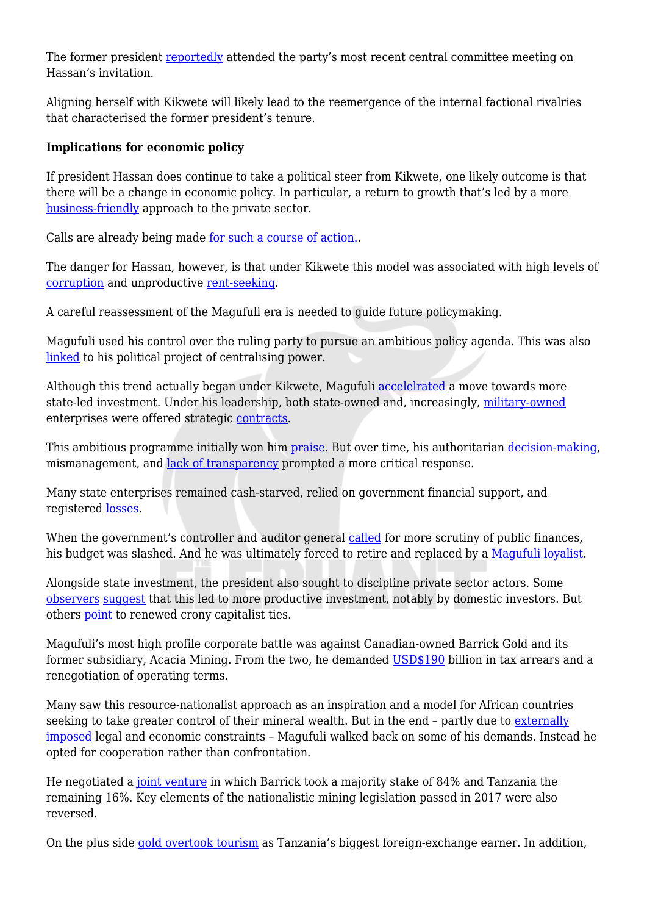The former president [reportedly](https://twitter.com/Hakingowi/status/1373321743406878724?s=20) attended the party's most recent central committee meeting on Hassan's invitation.

Aligning herself with Kikwete will likely lead to the reemergence of the internal factional rivalries that characterised the former president's tenure.

### **Implications for economic policy**

If president Hassan does continue to take a political steer from Kikwete, one likely outcome is that there will be a change in economic policy. In particular, a return to growth that's led by a more [business-friendly](https://www.whyafrica.co.za/tanzania-poised-for-a-u-turn/) approach to the private sector.

Calls are already being made [for such a course of action.](https://twitter.com/kigogo2014/status/1373394443680759811?s=20).

The danger for Hassan, however, is that under Kikwete this model was associated with high levels of [corruption](https://dash.harvard.edu/handle/1/39947205) and unproductive [rent-seeking](https://assets.publishing.service.gov.uk/media/57a08ad8e5274a27b20007d3/20130724-public-goods-rents-and-business-in-tanzania.pdf).

A careful reassessment of the Magufuli era is needed to guide future policymaking.

Magufuli used his control over the ruling party to pursue an ambitious policy agenda. This was also [linked](https://presidential-power.net/?p=7222) to his political project of centralising power.

Although this trend actually began under Kikwete, Magufuli [accelelrated](https://africasacountry.com/2019/05/drawing-the-wrong-lessons-from-the-magufuli-experience-in-tanzania) a move towards more state-led investment. Under his leadership, both state-owned and, increasingly, [military-owned](https://www.mwananchi.co.tz/habari/1597578-4656014-cvox2az/index.html) enterprises were offered strategic [contracts.](https://www.mwananchi.co.tz/habari/Kitaifa/Rais--Jeshi-lipewe-zabuni/1597296-5063192-iaagvs/index.html)

This ambitious programme initially won him [praise](https://www.dw.com/en/whatwouldmagufulido-tanzanian-president-becomes-a-twitter-star/a-18903350). But over time, his authoritarian [decision-making](https://www.bbc.co.uk/news/world-africa-46180098), mismanagement, and [lack of transparency](https://www.cambridge.org/core/journals/perspectives-on-politics/article/open-data-from-authoritarian-regimes-new-opportunities-new-challenges/ABE1166B45E371C92E415333868E52E4?utm_source=hootsuite&utm_medium=twitter&utm_term=&utm_content=FirstView&utm_campaign=PPS_Jun20) prompted a more critical response.

Many state enterprises remained cash-starved, relied on government financial support, and registered [losses.](https://www.thecitizen.co.tz/news/Why-public-entities-continue-losing-billions--CAG/1840340-5517710-view-asAMP-nm5ux9/index.html?__twitter_impression=true)

When the government's controller and auditor general [called](https://presidential-power.net/?p=9503) for more scrutiny of public finances, his budget was slashed. And he was ultimately forced to retire and replaced by a [Magufuli loyalist.](https://www.thecitizen.co.tz/tanzania/news/government-given-fourteen-days-to-respond-on-zitto-s-case-against-cag-removal-2702334)

Alongside state investment, the president also sought to discipline private sector actors. Some [observers](https://ace.soas.ac.uk/publication/novel-approach-to-analysing-diversified-business-groups-in-tanzania/) [suggest](https://ace.soas.ac.uk/working-paper-1/) that this led to more productive investment, notably by domestic investors. But others [point](https://www.ifri.org/sites/default/files/atoms/files/collord_tanzania_2020_election_2021.pdf) to renewed crony capitalist ties.

Magufuli's most high profile corporate battle was against Canadian-owned Barrick Gold and its former subsidiary, Acacia Mining. From the two, he demanded [USD\\$190](https://theconversation.com/all-bets-are-off-as-magufulis-resource-nationalism-moves-up-a-gear-in-tanzania-81632?utm_source=twitter&utm_medium=twitterbutton) billion in tax arrears and a renegotiation of operating terms.

Many saw this resource-nationalist approach as an inspiration and a model for African countries seeking to take greater control of their mineral wealth. But in the end – partly due to [externally](http://www.udadisi.org/2020/09/watanzania-kizimbani-jinsi-kampuni-za.html?q=sabatho+nyamsenda) [imposed](http://www.udadisi.org/2020/09/watanzania-kizimbani-jinsi-kampuni-za.html?q=sabatho+nyamsenda) legal and economic constraints – Magufuli walked back on some of his demands. Instead he opted for cooperation rather than confrontation.

He negotiated a [joint venture](https://www.barrick.com/English/news/news-details/2020/Barrick-Back-in-Business-in-Tanzania/default.aspx) in which Barrick took a majority stake of 84% and Tanzania the remaining 16%. Key elements of the nationalistic mining legislation passed in 2017 were also reversed.

On the plus side [gold overtook tourism](https://www.bloomberg.com/news/articles/2020-10-15/barrick-deal-smuggling-crackdown-revive-tanzania-gold-industry) as Tanzania's biggest foreign-exchange earner. In addition,